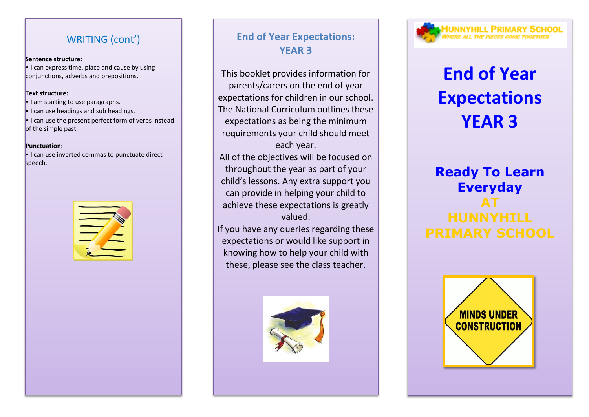## WRITING (cont')

#### **Sentence structure:**

 $\cdot$  I can express time, place and cause by using conjunctions, adverbs and prepositions.

#### **Text structure:**

- I am starting to use paragraphs.
- I can use headings and sub headings.
- $\cdot$  I can use the present perfect form of verbs instead of the simple past.

#### **Punctuation:**

• I can use inverted commas to punctuate direct speech.



## **End of Year Expectations: YEAR 3**

This booklet provides information for parents/carers on the end of year expectations for children in our school. The National Curriculum outlines these expectations as being the minimum requirements your child should meet each year.

All of the objectives will be focused on throughout the year as part of your child's lessons. Any extra support you can provide in helping your child to achieve these expectations is greatly valued.

If you have any queries regarding these expectations or would like support in knowing how to help your child with these, please see the class teacher.





# **End of Year Expectations YEAR 3**

## **Ready To Learn Everyday AT HUNNYHILL**